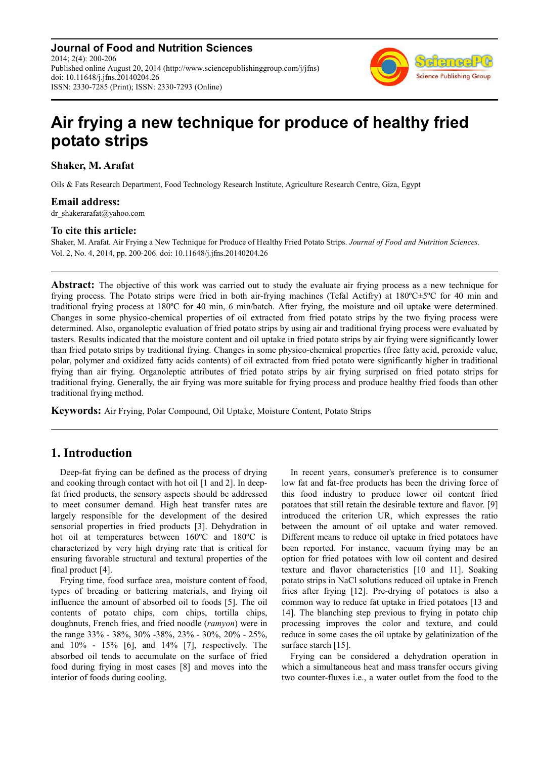**Journal of Food and Nutrition Sciences** 2014; 2(4): 200-206 Published online August 20, 2014 (http://www.sciencepublishinggroup.com/j/jfns) doi: 10.11648/j.jfns.20140204.26 ISSN: 2330-7285 (Print); ISSN: 2330-7293 (Online)



# **Air frying a new technique for produce of healthy fried potato strips**

**Shaker, M. Arafat** 

Oils & Fats Research Department, Food Technology Research Institute, Agriculture Research Centre, Giza, Egypt

## **Email address:**

dr\_shakerarafat@yahoo.com

## **To cite this article:**

Shaker, M. Arafat. Air Frying a New Technique for Produce of Healthy Fried Potato Strips. *Journal of Food and Nutrition Sciences.*  Vol. 2, No. 4, 2014, pp. 200-206. doi: 10.11648/j.jfns.20140204.26

**Abstract:** The objective of this work was carried out to study the evaluate air frying process as a new technique for frying process. The Potato strips were fried in both air-frying machines (Tefal Actifry) at 180ºC±5ºC for 40 min and traditional frying process at 180ºC for 40 min, 6 min/batch. After frying, the moisture and oil uptake were determined. Changes in some physico-chemical properties of oil extracted from fried potato strips by the two frying process were determined. Also, organoleptic evaluation of fried potato strips by using air and traditional frying process were evaluated by tasters. Results indicated that the moisture content and oil uptake in fried potato strips by air frying were significantly lower than fried potato strips by traditional frying. Changes in some physico-chemical properties (free fatty acid, peroxide value, polar, polymer and oxidized fatty acids contents) of oil extracted from fried potato were significantly higher in traditional frying than air frying. Organoleptic attributes of fried potato strips by air frying surprised on fried potato strips for traditional frying. Generally, the air frying was more suitable for frying process and produce healthy fried foods than other traditional frying method.

**Keywords:** Air Frying, Polar Compound, Oil Uptake, Moisture Content, Potato Strips

# **1. Introduction**

Deep-fat frying can be defined as the process of drying and cooking through contact with hot oil [1 and 2]. In deepfat fried products, the sensory aspects should be addressed to meet consumer demand. High heat transfer rates are largely responsible for the development of the desired sensorial properties in fried products [3]. Dehydration in hot oil at temperatures between 160ºC and 180ºC is characterized by very high drying rate that is critical for ensuring favorable structural and textural properties of the final product [4].

Frying time, food surface area, moisture content of food, types of breading or battering materials, and frying oil influence the amount of absorbed oil to foods [5]. The oil contents of potato chips, corn chips, tortilla chips, doughnuts, French fries, and fried noodle (*ramyon*) were in the range 33% - 38%, 30% -38%, 23% - 30%, 20% - 25%, and 10% - 15% [6], and 14% [7], respectively. The absorbed oil tends to accumulate on the surface of fried food during frying in most cases [8] and moves into the interior of foods during cooling.

In recent years, consumer's preference is to consumer low fat and fat-free products has been the driving force of this food industry to produce lower oil content fried potatoes that still retain the desirable texture and flavor. [9] introduced the criterion UR, which expresses the ratio between the amount of oil uptake and water removed. Different means to reduce oil uptake in fried potatoes have been reported. For instance, vacuum frying may be an option for fried potatoes with low oil content and desired texture and flavor characteristics [10 and 11]. Soaking potato strips in NaCl solutions reduced oil uptake in French fries after frying [12]. Pre-drying of potatoes is also a common way to reduce fat uptake in fried potatoes [13 and 14]. The blanching step previous to frying in potato chip processing improves the color and texture, and could reduce in some cases the oil uptake by gelatinization of the surface starch [15].

Frying can be considered a dehydration operation in which a simultaneous heat and mass transfer occurs giving two counter-fluxes i.e., a water outlet from the food to the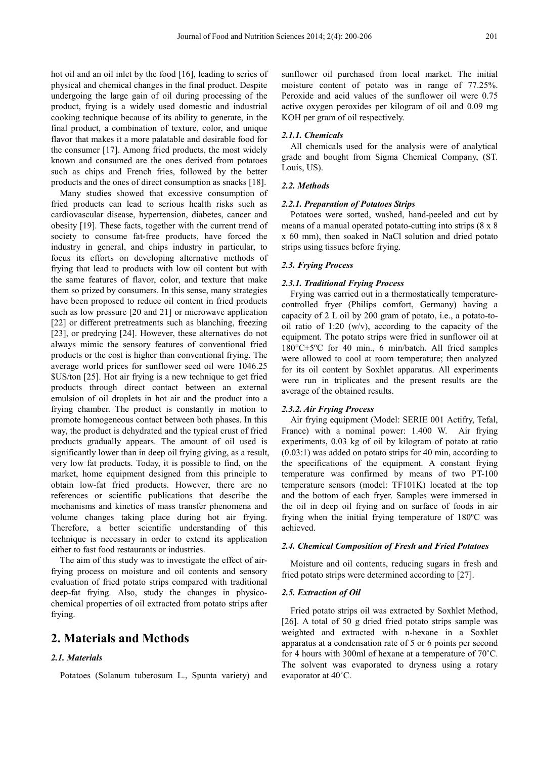hot oil and an oil inlet by the food [16], leading to series of physical and chemical changes in the final product. Despite undergoing the large gain of oil during processing of the product, frying is a widely used domestic and industrial cooking technique because of its ability to generate, in the final product, a combination of texture, color, and unique flavor that makes it a more palatable and desirable food for the consumer [17]. Among fried products, the most widely known and consumed are the ones derived from potatoes such as chips and French fries, followed by the better products and the ones of direct consumption as snacks [18].

Many studies showed that excessive consumption of fried products can lead to serious health risks such as cardiovascular disease, hypertension, diabetes, cancer and obesity [19]. These facts, together with the current trend of society to consume fat-free products, have forced the industry in general, and chips industry in particular, to focus its efforts on developing alternative methods of frying that lead to products with low oil content but with the same features of flavor, color, and texture that make them so prized by consumers. In this sense, many strategies have been proposed to reduce oil content in fried products such as low pressure [20 and 21] or microwave application [22] or different pretreatments such as blanching, freezing [23], or predrying [24]. However, these alternatives do not always mimic the sensory features of conventional fried products or the cost is higher than conventional frying. The average world prices for sunflower seed oil were 1046.25 \$US/ton [25]. Hot air frying is a new technique to get fried products through direct contact between an external emulsion of oil droplets in hot air and the product into a frying chamber. The product is constantly in motion to promote homogeneous contact between both phases. In this way, the product is dehydrated and the typical crust of fried products gradually appears. The amount of oil used is significantly lower than in deep oil frying giving, as a result, very low fat products. Today, it is possible to find, on the market, home equipment designed from this principle to obtain low-fat fried products. However, there are no references or scientific publications that describe the mechanisms and kinetics of mass transfer phenomena and volume changes taking place during hot air frying. Therefore, a better scientific understanding of this technique is necessary in order to extend its application either to fast food restaurants or industries.

The aim of this study was to investigate the effect of airfrying process on moisture and oil contents and sensory evaluation of fried potato strips compared with traditional deep-fat frying. Also, study the changes in physicochemical properties of oil extracted from potato strips after frying.

## **2. Materials and Methods**

## *2.1. Materials*

Potatoes (Solanum tuberosum L., Spunta variety) and

sunflower oil purchased from local market. The initial moisture content of potato was in range of 77.25%. Peroxide and acid values of the sunflower oil were 0.75 active oxygen peroxides per kilogram of oil and 0.09 mg KOH per gram of oil respectively.

#### *2.1.1. Chemicals*

All chemicals used for the analysis were of analytical grade and bought from Sigma Chemical Company, (ST. Louis, US).

#### *2.2. Methods*

#### *2.2.1. Preparation of Potatoes Strips*

Potatoes were sorted, washed, hand-peeled and cut by means of a manual operated potato-cutting into strips (8 x 8 x 60 mm), then soaked in NaCl solution and dried potato strips using tissues before frying.

#### *2.3. Frying Process*

#### *2.3.1. Traditional Frying Process*

Frying was carried out in a thermostatically temperaturecontrolled fryer (Philips comfort, Germany) having a capacity of 2 L oil by 200 gram of potato, i.e., a potato-tooil ratio of 1:20 (w/v), according to the capacity of the equipment. The potato strips were fried in sunflower oil at 180°C±5ºC for 40 min., 6 min/batch. All fried samples were allowed to cool at room temperature; then analyzed for its oil content by Soxhlet apparatus. All experiments were run in triplicates and the present results are the average of the obtained results.

#### *2.3.2. Air Frying Process*

Air frying equipment (Model: SERIE 001 Actifry, Tefal, France) with a nominal power: 1.400 W. Air frying experiments, 0.03 kg of oil by kilogram of potato at ratio (0.03:1) was added on potato strips for 40 min, according to the specifications of the equipment. A constant frying temperature was confirmed by means of two PT-100 temperature sensors (model: TF101K) located at the top and the bottom of each fryer. Samples were immersed in the oil in deep oil frying and on surface of foods in air frying when the initial frying temperature of 180ºC was achieved.

#### *2.4. Chemical Composition of Fresh and Fried Potatoes*

Moisture and oil contents, reducing sugars in fresh and fried potato strips were determined according to [27].

#### *2.5. Extraction of Oil*

Fried potato strips oil was extracted by Soxhlet Method, [26]. A total of 50 g dried fried potato strips sample was weighted and extracted with n-hexane in a Soxhlet apparatus at a condensation rate of 5 or 6 points per second for 4 hours with 300ml of hexane at a temperature of 70˚C. The solvent was evaporated to dryness using a rotary evaporator at 40˚C.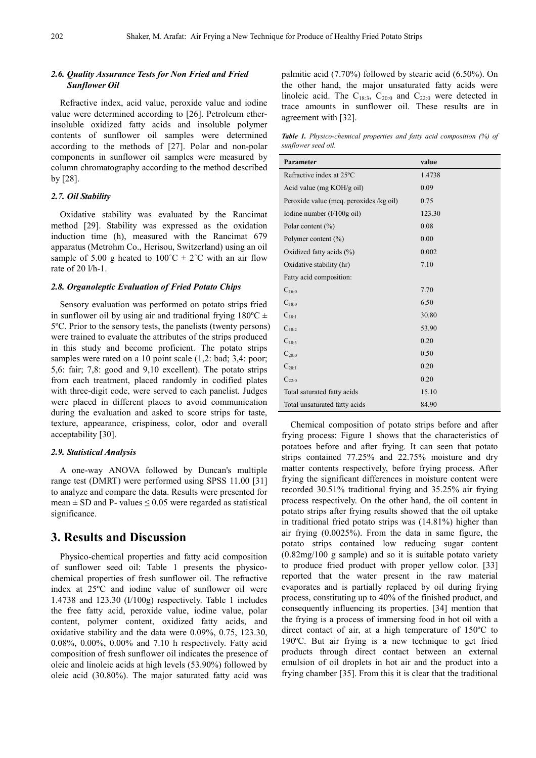## *2.6. Quality Assurance Tests for Non Fried and Fried Sunflower Oil*

Refractive index, acid value, peroxide value and iodine value were determined according to [26]. Petroleum etherinsoluble oxidized fatty acids and insoluble polymer contents of sunflower oil samples were determined according to the methods of [27]. Polar and non-polar components in sunflower oil samples were measured by column chromatography according to the method described by [28].

#### *2.7. Oil Stability*

Oxidative stability was evaluated by the Rancimat method [29]. Stability was expressed as the oxidation induction time (h), measured with the Rancimat 679 apparatus (Metrohm Co., Herisou, Switzerland) using an oil sample of 5.00 g heated to  $100^{\circ}C \pm 2^{\circ}C$  with an air flow rate of 20 l/h-1.

#### *2.8. Organoleptic Evaluation of Fried Potato Chips*

Sensory evaluation was performed on potato strips fried in sunflower oil by using air and traditional frying  $180^{\circ}$ C  $\pm$ 5ºC. Prior to the sensory tests, the panelists (twenty persons) were trained to evaluate the attributes of the strips produced in this study and become proficient. The potato strips samples were rated on a 10 point scale  $(1,2:$  bad; 3,4: poor; 5,6: fair; 7,8: good and 9,10 excellent). The potato strips from each treatment, placed randomly in codified plates with three-digit code, were served to each panelist. Judges were placed in different places to avoid communication during the evaluation and asked to score strips for taste, texture, appearance, crispiness, color, odor and overall acceptability [30].

#### *2.9. Statistical Analysis*

A one-way ANOVA followed by Duncan's multiple range test (DMRT) were performed using SPSS 11.00 [31] to analyze and compare the data. Results were presented for mean  $\pm$  SD and P- values  $\leq$  0.05 were regarded as statistical significance.

## **3. Results and Discussion**

Physico-chemical properties and fatty acid composition of sunflower seed oil: Table 1 presents the physicochemical properties of fresh sunflower oil. The refractive index at 25ºC and iodine value of sunflower oil were 1.4738 and 123.30 (I/100g) respectively. Table 1 includes the free fatty acid, peroxide value, iodine value, polar content, polymer content, oxidized fatty acids, and oxidative stability and the data were 0.09%, 0.75, 123.30, 0.08%, 0.00%, 0.00% and 7.10 h respectively. Fatty acid composition of fresh sunflower oil indicates the presence of oleic and linoleic acids at high levels (53.90%) followed by oleic acid (30.80%). The major saturated fatty acid was palmitic acid (7.70%) followed by stearic acid (6.50%). On the other hand, the major unsaturated fatty acids were linoleic acid. The  $C_{18:3}$ ,  $C_{20:0}$  and  $C_{22:0}$  were detected in trace amounts in sunflower oil. These results are in agreement with [32].

*Table 1. Physico-chemical properties and fatty acid composition (%) of sunflower seed oil.* 

| Parameter                               | value  |
|-----------------------------------------|--------|
| Refractive index at 25°C                | 1.4738 |
| Acid value (mg KOH/g oil)               | 0.09   |
| Peroxide value (meq. peroxides /kg oil) | 0.75   |
| Iodine number $(I/100g$ oil)            | 123.30 |
| Polar content (%)                       | 0.08   |
| Polymer content $(\% )$                 | 0.00   |
| Oxidized fatty acids (%)                | 0.002  |
| Oxidative stability (hr)                | 7.10   |
| Fatty acid composition:                 |        |
| $C_{16:0}$                              | 7.70   |
| $C_{18:0}$                              | 6.50   |
| $C_{18:1}$                              | 30.80  |
| $C_{18}$                                | 53.90  |
| $C_{18:3}$                              | 0.20   |
| $C_{20:0}$                              | 0.50   |
| $C_{20.1}$                              | 0.20   |
| $C_{22:0}$                              | 0.20   |
| Total saturated fatty acids             | 15.10  |
| Total unsaturated fatty acids           | 84.90  |

Chemical composition of potato strips before and after frying process: Figure 1 shows that the characteristics of potatoes before and after frying. It can seen that potato strips contained 77.25% and 22.75% moisture and dry matter contents respectively, before frying process. After frying the significant differences in moisture content were recorded 30.51% traditional frying and 35.25% air frying process respectively. On the other hand, the oil content in potato strips after frying results showed that the oil uptake in traditional fried potato strips was (14.81%) higher than air frying (0.0025%). From the data in same figure, the potato strips contained low reducing sugar content (0.82mg/100 g sample) and so it is suitable potato variety to produce fried product with proper yellow color. [33] reported that the water present in the raw material evaporates and is partially replaced by oil during frying process, constituting up to 40% of the finished product, and consequently influencing its properties. [34] mention that the frying is a process of immersing food in hot oil with a direct contact of air, at a high temperature of 150ºC to 190ºC. But air frying is a new technique to get fried products through direct contact between an external emulsion of oil droplets in hot air and the product into a frying chamber [35]. From this it is clear that the traditional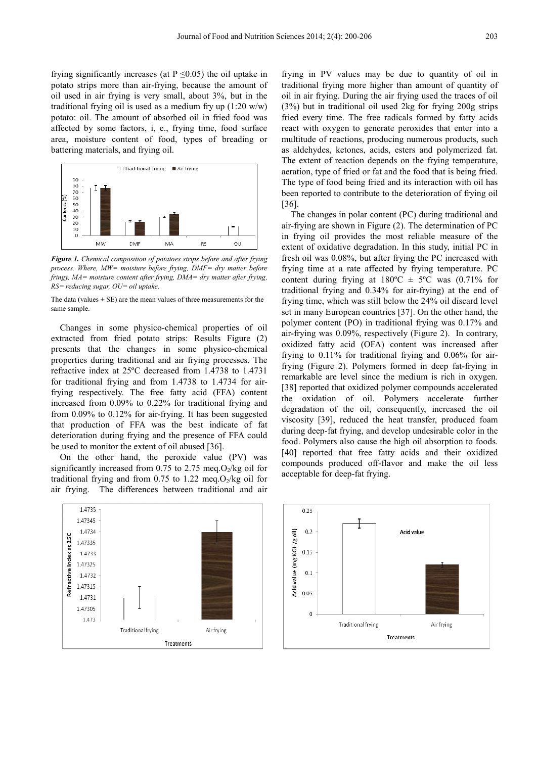frying significantly increases (at  $P \le 0.05$ ) the oil uptake in potato strips more than air-frying, because the amount of oil used in air frying is very small, about 3%, but in the traditional frying oil is used as a medium fry up  $(1:20 \text{ w/w})$ potato: oil. The amount of absorbed oil in fried food was affected by some factors, i, e., frying time, food surface area, moisture content of food, types of breading or battering materials, and frying oil.



*Figure 1. Chemical composition of potatoes strips before and after frying process. Where, MW= moisture before frying, DMF= dry matter before fringy, MA= moisture content after frying, DMA= dry matter after frying, RS= reducing sugar, OU= oil uptake.* 

The data (values  $\pm$  SE) are the mean values of three measurements for the same sample.

Changes in some physico-chemical properties of oil extracted from fried potato strips: Results Figure (2) presents that the changes in some physico-chemical properties during traditional and air frying processes. The refractive index at 25ºC decreased from 1.4738 to 1.4731 for traditional frying and from 1.4738 to 1.4734 for airfrying respectively. The free fatty acid (FFA) content increased from 0.09% to 0.22% for traditional frying and from 0.09% to 0.12% for air-frying. It has been suggested that production of FFA was the best indicate of fat deterioration during frying and the presence of FFA could be used to monitor the extent of oil abused [36].

On the other hand, the peroxide value (PV) was significantly increased from 0.75 to 2.75 meq.O<sub>2</sub>/kg oil for traditional frying and from 0.75 to 1.22 meg. $O_2$ /kg oil for air frying. The differences between traditional and air

frying in PV values may be due to quantity of oil in traditional frying more higher than amount of quantity of oil in air frying. During the air frying used the traces of oil (3%) but in traditional oil used 2kg for frying 200g strips fried every time. The free radicals formed by fatty acids react with oxygen to generate peroxides that enter into a multitude of reactions, producing numerous products, such as aldehydes, ketones, acids, esters and polymerized fat. The extent of reaction depends on the frying temperature, aeration, type of fried or fat and the food that is being fried. The type of food being fried and its interaction with oil has been reported to contribute to the deterioration of frying oil [36].

The changes in polar content (PC) during traditional and air-frying are shown in Figure (2). The determination of PC in frying oil provides the most reliable measure of the extent of oxidative degradation. In this study, initial PC in fresh oil was 0.08%, but after frying the PC increased with frying time at a rate affected by frying temperature. PC content during frying at  $180^{\circ}\text{C} \pm 5^{\circ}\text{C}$  was  $(0.71\%$  for traditional frying and 0.34% for air-frying) at the end of frying time, which was still below the 24% oil discard level set in many European countries [37]. On the other hand, the polymer content (PO) in traditional frying was 0.17% and air-frying was 0.09%, respectively (Figure 2). In contrary, oxidized fatty acid (OFA) content was increased after frying to 0.11% for traditional frying and 0.06% for airfrying (Figure 2). Polymers formed in deep fat-frying in remarkable are level since the medium is rich in oxygen. [38] reported that oxidized polymer compounds accelerated the oxidation of oil. Polymers accelerate further degradation of the oil, consequently, increased the oil viscosity [39], reduced the heat transfer, produced foam during deep-fat frying, and develop undesirable color in the food. Polymers also cause the high oil absorption to foods. [40] reported that free fatty acids and their oxidized compounds produced off-flavor and make the oil less acceptable for deep-fat frying.



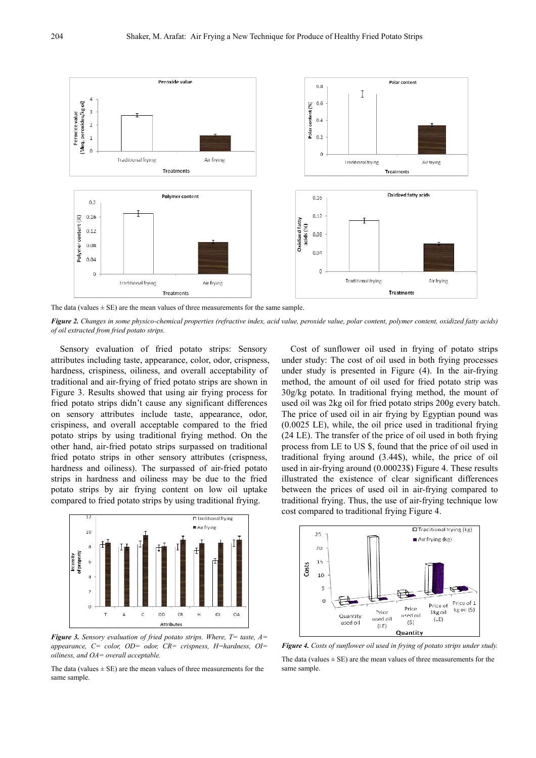

The data (values  $\pm$  SE) are the mean values of three measurements for the same sample.

*Figure 2. Changes in some physico-chemical properties (refractive index, acid value, peroxide value, polar content, polymer content, oxidized fatty acids) of oil extracted from fried potato strips.* 

Sensory evaluation of fried potato strips: Sensory attributes including taste, appearance, color, odor, crispness, hardness, crispiness, oiliness, and overall acceptability of traditional and air-frying of fried potato strips are shown in Figure 3. Results showed that using air frying process for fried potato strips didn't cause any significant differences on sensory attributes include taste, appearance, odor, crispiness, and overall acceptable compared to the fried potato strips by using traditional frying method. On the other hand, air-fried potato strips surpassed on traditional fried potato strips in other sensory attributes (crispness, hardness and oiliness). The surpassed of air-fried potato strips in hardness and oiliness may be due to the fried potato strips by air frying content on low oil uptake compared to fried potato strips by using traditional frying.



*Figure 3. Sensory evaluation of fried potato strips. Where, T= taste, A= appearance, C= color, OD= odor, CR= crispness, H=hardness, OI= oiliness, and OA= overall acceptable.* 

The data (values  $\pm$  SE) are the mean values of three measurements for the same sample.

Cost of sunflower oil used in frying of potato strips under study: The cost of oil used in both frying processes under study is presented in Figure (4). In the air-frying method, the amount of oil used for fried potato strip was 30g/kg potato. In traditional frying method, the mount of used oil was 2kg oil for fried potato strips 200g every batch. The price of used oil in air frying by Egyptian pound was (0.0025 LE), while, the oil price used in traditional frying (24 LE). The transfer of the price of oil used in both frying process from LE to US \$, found that the price of oil used in traditional frying around (3.44\$), while, the price of oil used in air-frying around (0.00023\$) Figure 4. These results illustrated the existence of clear significant differences between the prices of used oil in air-frying compared to traditional frying. Thus, the use of air-frying technique low cost compared to traditional frying Figure 4.



*Figure 4. Costs of sunflower oil used in frying of potato strips under study.* 

The data (values  $\pm$  SE) are the mean values of three measurements for the same sample.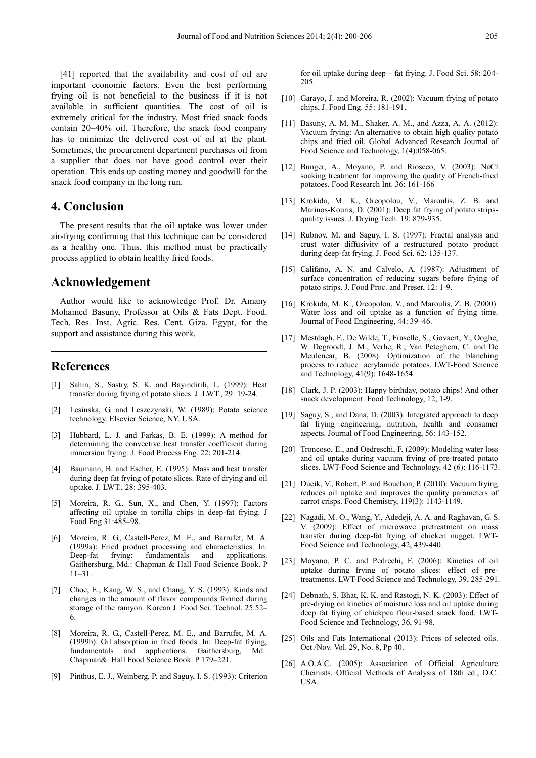[41] reported that the availability and cost of oil are important economic factors. Even the best performing frying oil is not beneficial to the business if it is not available in sufficient quantities. The cost of oil is extremely critical for the industry. Most fried snack foods contain 20–40% oil. Therefore, the snack food company has to minimize the delivered cost of oil at the plant. Sometimes, the procurement department purchases oil from a supplier that does not have good control over their operation. This ends up costing money and goodwill for the snack food company in the long run.

## **4. Conclusion**

The present results that the oil uptake was lower under air-frying confirming that this technique can be considered as a healthy one. Thus, this method must be practically process applied to obtain healthy fried foods.

## **Acknowledgement**

Author would like to acknowledge Prof. Dr. Amany Mohamed Basuny, Professor at Oils & Fats Dept. Food. Tech. Res. Inst. Agric. Res. Cent. Giza. Egypt, for the support and assistance during this work.

## **References**

- [1] Sahin, S., Sastry, S. K. and Bayindirili, L. (1999): Heat transfer during frying of potato slices. J. LWT., 29: 19-24.
- [2] Lesinska, G. and Leszczynski, W. (1989): Potato science technology. Elsevier Science, NY. USA.
- [3] Hubbard, L. J. and Farkas, B. E. (1999): A method for determining the convective heat transfer coefficient during immersion frying. J. Food Process Eng. 22: 201-214.
- [4] Baumann, B. and Escher, E. (1995): Mass and heat transfer during deep fat frying of potato slices. Rate of drying and oil uptake. J. LWT., 28: 395-403.
- [5] Moreira, R. G., Sun, X., and Chen, Y. (1997): Factors affecting oil uptake in tortilla chips in deep-fat frying. J Food Eng 31:485–98.
- [6] Moreira, R. G., Castell-Perez, M. E., and Barrufet, M. A. (1999a): Fried product processing and characteristics. In: Deep-fat frying: fundamentals and applications. Gaithersburg, Md.: Chapman & Hall Food Science Book. P 11–31.
- [7] Choe, E., Kang, W. S., and Chang, Y. S. (1993): Kinds and changes in the amount of flavor compounds formed during storage of the ramyon. Korean J. Food Sci. Technol. 25:52– 6.
- [8] Moreira, R. G., Castell-Perez, M. E., and Barrufet, M. A. (1999b): Oil absorption in fried foods. In: Deep-fat frying; fundamentals and applications. Gaithersburg, Md.: Chapman& Hall Food Science Book. P 179–221.
- [9] Pinthus, E. J., Weinberg, P. and Saguy, I. S. (1993): Criterion

for oil uptake during deep – fat frying. J. Food Sci. 58: 204- 205.

- [10] Garayo, J. and Moreira, R. (2002): Vacuum frying of potato chips, J. Food Eng. 55: 181-191.
- [11] Basuny, A. M. M., Shaker, A. M., and Azza, A. A. (2012): Vacuum frying: An alternative to obtain high quality potato chips and fried oil. Global Advanced Research Journal of Food Science and Technology, 1(4):058-065.
- [12] Bunger, A., Moyano, P. and Rioseco, V. (2003): NaCl soaking treatment for improving the quality of French-fried potatoes. Food Research Int. 36: 161-166
- [13] Krokida, M. K., Oreopolou, V., Maroulis, Z. B. and Marinos-Kouris, D. (2001): Deep fat frying of potato stripsquality issues. J. Drying Tech. 19: 879-935.
- [14] Rubnov, M. and Saguy, I. S. (1997): Fractal analysis and crust water diffusivity of a restructured potato product during deep-fat frying. J. Food Sci. 62: 135-137.
- [15] Califano, A. N. and Calvelo, A. (1987): Adjustment of surface concentration of reducing sugars before frying of potato strips. J. Food Proc. and Preser, 12: 1-9.
- [16] Krokida, M. K., Oreopolou, V., and Maroulis, Z. B. (2000): Water loss and oil uptake as a function of frying time. Journal of Food Engineering, 44: 39–46.
- [17] Mestdagh, F., De Wilde, T., Fraselle, S., Govaert, Y., Ooghe, W. Degroodt, J. M., Verhe, R., Van Peteghem, C. and De Meulenear, B. (2008): Optimization of the blanching process to reduce acrylamide potatoes. LWT-Food Science and Technology, 41(9): 1648-1654.
- [18] Clark, J. P. (2003): Happy birthday, potato chips! And other snack development. Food Technology, 12, 1-9.
- [19] Saguy, S., and Dana, D. (2003): Integrated approach to deep fat frying engineering, nutrition, health and consumer aspects. Journal of Food Engineering, 56: 143-152.
- [20] Troncoso, E., and Oedreschi, F. (2009): Modeling water loss and oil uptake during vacuum frying of pre-treated potato slices. LWT-Food Science and Technology, 42 (6): 116-1173.
- [21] Dueik, V., Robert, P. and Bouchon, P. (2010): Vacuum frying reduces oil uptake and improves the quality parameters of carrot crisps. Food Chemistry, 119(3): 1143-1149.
- [22] Nagadi, M. O., Wang, Y., Adedeji, A. A. and Raghavan, G. S. V. (2009): Effect of microwave pretreatment on mass transfer during deep-fat frying of chicken nugget. LWT-Food Science and Technology, 42, 439-440.
- [23] Moyano, P. C. and Pedrechi, F. (2006): Kinetics of oil uptake during frying of potato slices: effect of pretreatments. LWT-Food Science and Technology, 39, 285-291.
- [24] Debnath, S. Bhat, K. K. and Rastogi, N. K. (2003): Effect of pre-drying on kinetics of moisture loss and oil uptake during deep fat frying of chickpea flour-based snack food. LWT-Food Science and Technology, 36, 91-98.
- [25] Oils and Fats International (2013): Prices of selected oils. Oct /Nov. Vol. 29, No. 8, Pp 40.
- [26] A.O.A.C. (2005): Association of Official Agriculture Chemists. Official Methods of Analysis of 18th ed., D.C. USA.